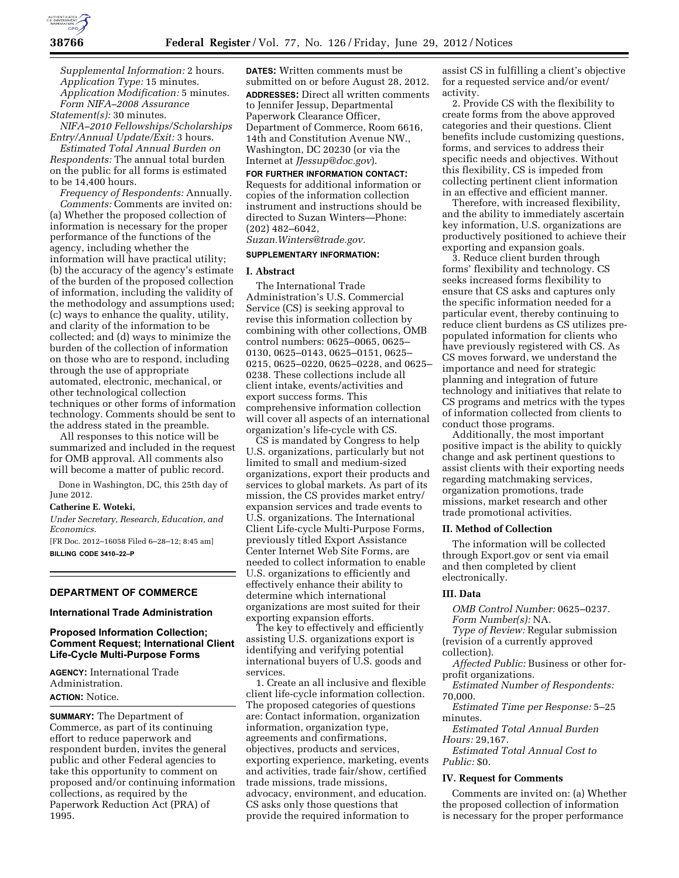

*Supplemental Information:* 2 hours. *Application Type:* 15 minutes. *Application Modification:* 5 minutes. *Form NIFA–2008 Assurance Statement(s):* 30 minutes.

*NIFA–2010 Fellowships/Scholarships Entry/Annual Update/Exit:* 3 hours.

*Estimated Total Annual Burden on Respondents:* The annual total burden on the public for all forms is estimated to be 14,400 hours.

*Frequency of Respondents:* Annually. *Comments:* Comments are invited on: (a) Whether the proposed collection of information is necessary for the proper performance of the functions of the agency, including whether the information will have practical utility; (b) the accuracy of the agency's estimate of the burden of the proposed collection of information, including the validity of the methodology and assumptions used; (c) ways to enhance the quality, utility, and clarity of the information to be collected; and (d) ways to minimize the burden of the collection of information on those who are to respond, including through the use of appropriate automated, electronic, mechanical, or other technological collection techniques or other forms of information technology. Comments should be sent to the address stated in the preamble.

All responses to this notice will be summarized and included in the request for OMB approval. All comments also will become a matter of public record.

Done in Washington, DC, this 25th day of June 2012.

## **Catherine E. Woteki,**

*Under Secretary, Research, Education, and Economics.* 

[FR Doc. 2012–16058 Filed 6–28–12; 8:45 am] **BILLING CODE 3410–22–P** 

## **DEPARTMENT OF COMMERCE**

## **International Trade Administration**

## **Proposed Information Collection; Comment Request; International Client Life-Cycle Multi-Purpose Forms**

**AGENCY:** International Trade Administration. **ACTION:** Notice.

**SUMMARY:** The Department of Commerce, as part of its continuing effort to reduce paperwork and respondent burden, invites the general public and other Federal agencies to take this opportunity to comment on proposed and/or continuing information collections, as required by the Paperwork Reduction Act (PRA) of 1995.

**DATES:** Written comments must be submitted on or before August 28, 2012. **ADDRESSES:** Direct all written comments to Jennifer Jessup, Departmental Paperwork Clearance Officer, Department of Commerce, Room 6616, 14th and Constitution Avenue NW., Washington, DC 20230 (or via the Internet at *[JJessup@doc.gov](mailto:JJessup@doc.gov)*).

#### **FOR FURTHER INFORMATION CONTACT:**

Requests for additional information or copies of the information collection instrument and instructions should be directed to Suzan Winters—Phone: (202) 482–6042,

# *[Suzan.Winters@trade.gov.](mailto:Suzan.Winters@trade.gov)*

# **SUPPLEMENTARY INFORMATION:**

#### **I. Abstract**

The International Trade Administration's U.S. Commercial Service (CS) is seeking approval to revise this information collection by combining with other collections, OMB control numbers: 0625–0065, 0625– 0130, 0625–0143, 0625–0151, 0625– 0215, 0625–0220, 0625–0228, and 0625– 0238. These collections include all client intake, events/activities and export success forms. This comprehensive information collection will cover all aspects of an international organization's life-cycle with CS.

CS is mandated by Congress to help U.S. organizations, particularly but not limited to small and medium-sized organizations, export their products and services to global markets. As part of its mission, the CS provides market entry/ expansion services and trade events to U.S. organizations. The International Client Life-cycle Multi-Purpose Forms, previously titled Export Assistance Center Internet Web Site Forms, are needed to collect information to enable U.S. organizations to efficiently and effectively enhance their ability to determine which international organizations are most suited for their exporting expansion efforts.

The key to effectively and efficiently assisting U.S. organizations export is identifying and verifying potential international buyers of U.S. goods and services.

1. Create an all inclusive and flexible client life-cycle information collection. The proposed categories of questions are: Contact information, organization information, organization type, agreements and confirmations, objectives, products and services, exporting experience, marketing, events and activities, trade fair/show, certified trade missions, trade missions, advocacy, environment, and education. CS asks only those questions that provide the required information to

assist CS in fulfilling a client's objective for a requested service and/or event/ activity.

2. Provide CS with the flexibility to create forms from the above approved categories and their questions. Client benefits include customizing questions, forms, and services to address their specific needs and objectives. Without this flexibility, CS is impeded from collecting pertinent client information in an effective and efficient manner.

Therefore, with increased flexibility, and the ability to immediately ascertain key information, U.S. organizations are productively positioned to achieve their exporting and expansion goals.

3. Reduce client burden through forms' flexibility and technology. CS seeks increased forms flexibility to ensure that CS asks and captures only the specific information needed for a particular event, thereby continuing to reduce client burdens as CS utilizes prepopulated information for clients who have previously registered with CS. As CS moves forward, we understand the importance and need for strategic planning and integration of future technology and initiatives that relate to CS programs and metrics with the types of information collected from clients to conduct those programs.

Additionally, the most important positive impact is the ability to quickly change and ask pertinent questions to assist clients with their exporting needs regarding matchmaking services, organization promotions, trade missions, market research and other trade promotional activities.

### **II. Method of Collection**

The information will be collected through Export.gov or sent via email and then completed by client electronically.

#### **III. Data**

*OMB Control Number:* 0625–0237. *Form Number(s):* NA.

*Type of Review:* Regular submission (revision of a currently approved

collection).

*Affected Public:* Business or other forprofit organizations.

*Estimated Number of Respondents:*  70,000.

*Estimated Time per Response:* 5–25 minutes.

*Estimated Total Annual Burden Hours:* 29,167.

*Estimated Total Annual Cost to Public:* \$0.

### **IV. Request for Comments**

Comments are invited on: (a) Whether the proposed collection of information is necessary for the proper performance